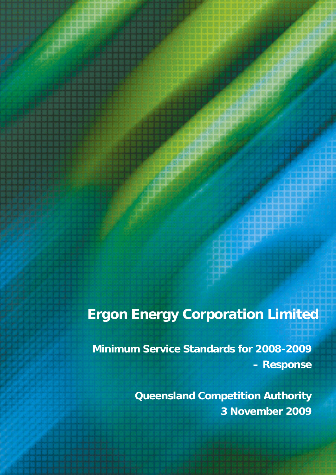# **Ergon Energy Corporation Limited**

**Minimum Service Standards for 2008-2009 – Response** 

> **Queensland Competition Authority 3 November 2009**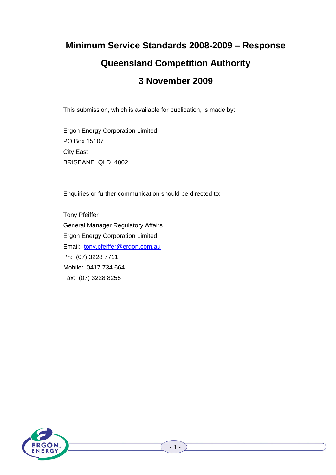# **Minimum Service Standards 2008-2009 – Response**

# **Queensland Competition Authority**

# **3 November 2009**

This submission, which is available for publication, is made by:

Ergon Energy Corporation Limited PO Box 15107 City East BRISBANE QLD 4002

Enquiries or further communication should be directed to:

Tony Pfeiffer General Manager Regulatory Affairs Ergon Energy Corporation Limited Email: tony.pfeiffer@ergon.com.au Ph: (07) 3228 7711 Mobile: 0417 734 664 Fax: (07) 3228 8255

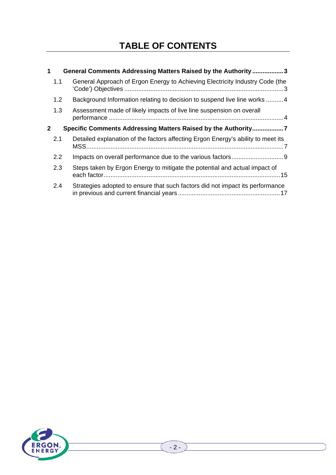# **TABLE OF CONTENTS**

| 1                                                                             | General Comments Addressing Matters Raised by the Authority 3 |                                                                                  |  |  |
|-------------------------------------------------------------------------------|---------------------------------------------------------------|----------------------------------------------------------------------------------|--|--|
|                                                                               | 1.1                                                           | General Approach of Ergon Energy to Achieving Electricity Industry Code (the     |  |  |
|                                                                               | 1.2                                                           | Background Information relating to decision to suspend live line works 4         |  |  |
|                                                                               | 1.3                                                           | Assessment made of likely impacts of live line suspension on overall             |  |  |
| Specific Comments Addressing Matters Raised by the Authority7<br>$\mathbf{2}$ |                                                               |                                                                                  |  |  |
|                                                                               | 2.1                                                           | Detailed explanation of the factors affecting Ergon Energy's ability to meet its |  |  |
|                                                                               | 2.2                                                           |                                                                                  |  |  |
|                                                                               | 2.3                                                           | Steps taken by Ergon Energy to mitigate the potential and actual impact of       |  |  |
|                                                                               | 2.4                                                           | Strategies adopted to ensure that such factors did not impact its performance    |  |  |

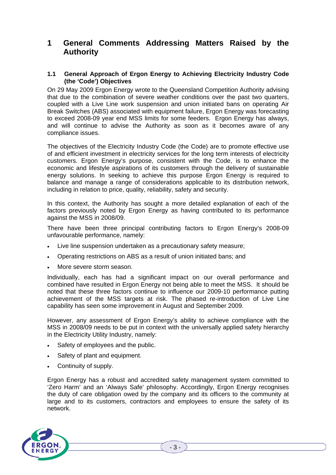# **1 General Comments Addressing Matters Raised by the Authority**

#### **1.1 General Approach of Ergon Energy to Achieving Electricity Industry Code (the 'Code') Objectives**

On 29 May 2009 Ergon Energy wrote to the Queensland Competition Authority advising that due to the combination of severe weather conditions over the past two quarters, coupled with a Live Line work suspension and union initiated bans on operating Air Break Switches (ABS) associated with equipment failure, Ergon Energy was forecasting to exceed 2008-09 year end MSS limits for some feeders. Ergon Energy has always, and will continue to advise the Authority as soon as it becomes aware of any compliance issues.

The objectives of the Electricity Industry Code (the Code) are to promote effective use of and efficient investment in electricity services for the long term interests of electricity customers. Ergon Energy's purpose, consistent with the Code, is to enhance the economic and lifestyle aspirations of its customers through the delivery of sustainable energy solutions. In seeking to achieve this purpose Ergon Energy is required to balance and manage a range of considerations applicable to its distribution network, including in relation to price, quality, reliability, safety and security.

In this context, the Authority has sought a more detailed explanation of each of the factors previously noted by Ergon Energy as having contributed to its performance against the MSS in 2008/09.

There have been three principal contributing factors to Ergon Energy's 2008-09 unfavourable performance, namely:

- Live line suspension undertaken as a precautionary safety measure;
- Operating restrictions on ABS as a result of union initiated bans; and
- More severe storm season.

Individually, each has had a significant impact on our overall performance and combined have resulted in Ergon Energy not being able to meet the MSS. It should be noted that these three factors continue to influence our 2009-10 performance putting achievement of the MSS targets at risk. The phased re-introduction of Live Line capability has seen some improvement in August and September 2009.

However, any assessment of Ergon Energy's ability to achieve compliance with the MSS in 2008/09 needs to be put in context with the universally applied safety hierarchy in the Electricity Utility Industry, namely:

- Safety of employees and the public.
- Safety of plant and equipment.
- Continuity of supply.

Ergon Energy has a robust and accredited safety management system committed to 'Zero Harm' and an 'Always Safe' philosophy. Accordingly, Ergon Energy recognises the duty of care obligation owed by the company and its officers to the community at large and to its customers, contractors and employees to ensure the safety of its network.

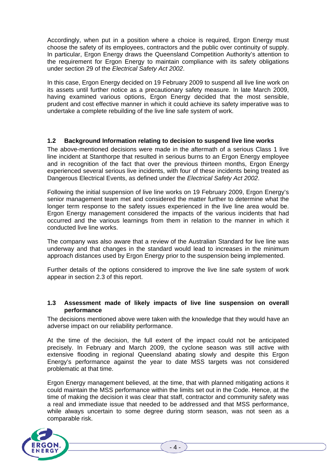Accordingly, when put in a position where a choice is required, Ergon Energy must choose the safety of its employees, contractors and the public over continuity of supply. In particular, Ergon Energy draws the Queensland Competition Authority's attention to the requirement for Ergon Energy to maintain compliance with its safety obligations under section 29 of the *Electrical Safety Act 2002*.

In this case, Ergon Energy decided on 19 February 2009 to suspend all live line work on its assets until further notice as a precautionary safety measure. In late March 2009, having examined various options, Ergon Energy decided that the most sensible, prudent and cost effective manner in which it could achieve its safety imperative was to undertake a complete rebuilding of the live line safe system of work.

#### **1.2 Background Information relating to decision to suspend live line works**

The above-mentioned decisions were made in the aftermath of a serious Class 1 live line incident at Stanthorpe that resulted in serious burns to an Ergon Energy employee and in recognition of the fact that over the previous thirteen months. Ergon Energy experienced several serious live incidents, with four of these incidents being treated as Dangerous Electrical Events, as defined under the *Electrical Safety Act 2002*.

Following the initial suspension of live line works on 19 February 2009, Ergon Energy's senior management team met and considered the matter further to determine what the longer term response to the safety issues experienced in the live line area would be. Ergon Energy management considered the impacts of the various incidents that had occurred and the various learnings from them in relation to the manner in which it conducted live line works.

The company was also aware that a review of the Australian Standard for live line was underway and that changes in the standard would lead to increases in the minimum approach distances used by Ergon Energy prior to the suspension being implemented.

Further details of the options considered to improve the live line safe system of work appear in section 2.3 of this report.

#### **1.3 Assessment made of likely impacts of live line suspension on overall performance**

The decisions mentioned above were taken with the knowledge that they would have an adverse impact on our reliability performance.

At the time of the decision, the full extent of the impact could not be anticipated precisely. In February and March 2009, the cyclone season was still active with extensive flooding in regional Queensland abating slowly and despite this Ergon Energy's performance against the year to date MSS targets was not considered problematic at that time.

Ergon Energy management believed, at the time, that with planned mitigating actions it could maintain the MSS performance within the limits set out in the Code. Hence, at the time of making the decision it was clear that staff, contractor and community safety was a real and immediate issue that needed to be addressed and that MSS performance, while always uncertain to some degree during storm season, was not seen as a comparable risk.

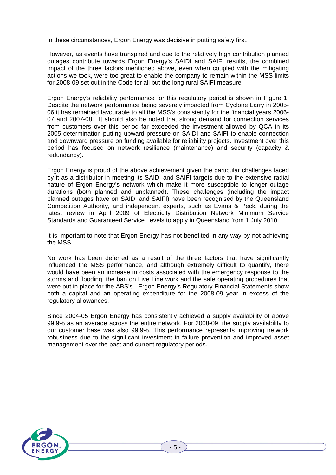In these circumstances, Ergon Energy was decisive in putting safety first.

However, as events have transpired and due to the relatively high contribution planned outages contribute towards Ergon Energy's SAIDI and SAIFI results, the combined impact of the three factors mentioned above, even when coupled with the mitigating actions we took, were too great to enable the company to remain within the MSS limits for 2008-09 set out in the Code for all but the long rural SAIFI measure.

Ergon Energy's reliability performance for this regulatory period is shown in Figure 1. Despite the network performance being severely impacted from Cyclone Larry in 2005- 06 it has remained favourable to all the MSS's consistently for the financial years 2006- 07 and 2007-08. It should also be noted that strong demand for connection services from customers over this period far exceeded the investment allowed by QCA in its 2005 determination putting upward pressure on SAIDI and SAIFI to enable connection and downward pressure on funding available for reliability projects. Investment over this period has focused on network resilience (maintenance) and security (capacity & redundancy).

Ergon Energy is proud of the above achievement given the particular challenges faced by it as a distributor in meeting its SAIDI and SAIFI targets due to the extensive radial nature of Ergon Energy's network which make it more susceptible to longer outage durations (both planned and unplanned). These challenges (including the impact planned outages have on SAIDI and SAIFI) have been recognised by the Queensland Competition Authority, and independent experts, such as Evans & Peck, during the latest review in April 2009 of Electricity Distribution Network Minimum Service Standards and Guaranteed Service Levels to apply in Queensland from 1 July 2010.

It is important to note that Ergon Energy has not benefited in any way by not achieving the MSS.

No work has been deferred as a result of the three factors that have significantly influenced the MSS performance, and although extremely difficult to quantify, there would have been an increase in costs associated with the emergency response to the storms and flooding, the ban on Live Line work and the safe operating procedures that were put in place for the ABS's. Ergon Energy's Regulatory Financial Statements show both a capital and an operating expenditure for the 2008-09 year in excess of the regulatory allowances.

Since 2004-05 Ergon Energy has consistently achieved a supply availability of above 99.9% as an average across the entire network. For 2008-09, the supply availability to our customer base was also 99.9%. This performance represents improving network robustness due to the significant investment in failure prevention and improved asset management over the past and current regulatory periods.

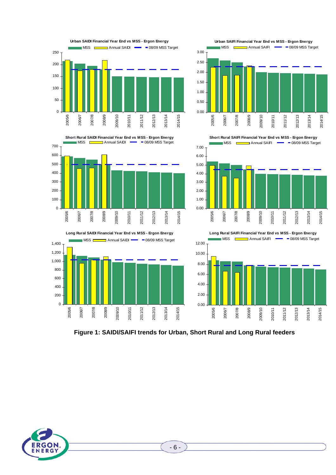

**Figure 1: SAIDI/SAIFI trends for Urban, Short Rural and Long Rural feeders** 

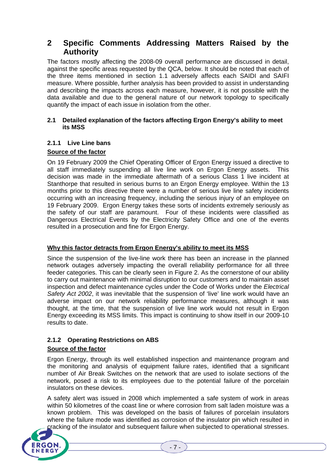# **2 Specific Comments Addressing Matters Raised by the Authority**

The factors mostly affecting the 2008-09 overall performance are discussed in detail, against the specific areas requested by the QCA, below. It should be noted that each of the three items mentioned in section 1.1 adversely affects each SAIDI and SAIFI measure. Where possible, further analysis has been provided to assist in understanding and describing the impacts across each measure, however, it is not possible with the data available and due to the general nature of our network topology to specifically quantify the impact of each issue in isolation from the other.

#### **2.1 Detailed explanation of the factors affecting Ergon Energy's ability to meet its MSS**

# **2.1.1 Live Line bans**

# **Source of the factor**

On 19 February 2009 the Chief Operating Officer of Ergon Energy issued a directive to all staff immediately suspending all live line work on Ergon Energy assets. This decision was made in the immediate aftermath of a serious Class 1 live incident at Stanthorpe that resulted in serious burns to an Ergon Energy employee. Within the 13 months prior to this directive there were a number of serious live line safety incidents occurring with an increasing frequency, including the serious injury of an employee on 19 February 2009. Ergon Energy takes these sorts of incidents extremely seriously as the safety of our staff are paramount. Four of these incidents were classified as Dangerous Electrical Events by the Electricity Safety Office and one of the events resulted in a prosecution and fine for Ergon Energy.

### **Why this factor detracts from Ergon Energy's ability to meet its MSS**

Since the suspension of the live-line work there has been an increase in the planned network outages adversely impacting the overall reliability performance for all three feeder categories. This can be clearly seen in Figure 2. As the cornerstone of our ability to carry out maintenance with minimal disruption to our customers and to maintain asset inspection and defect maintenance cycles under the Code of Works under the *Electrical Safety Act 2002*, it was inevitable that the suspension of 'live' line work would have an adverse impact on our network reliability performance measures, although it was thought, at the time, that the suspension of live line work would not result in Ergon Energy exceeding its MSS limits. This impact is continuing to show itself in our 2009-10 results to date.

# **2.1.2 Operating Restrictions on ABS**

# **Source of the factor**

Ergon Energy, through its well established inspection and maintenance program and the monitoring and analysis of equipment failure rates, identified that a significant number of Air Break Switches on the network that are used to isolate sections of the network, posed a risk to its employees due to the potential failure of the porcelain insulators on these devices.

A safety alert was issued in 2008 which implemented a safe system of work in areas within 50 kilometres of the coast line or where corrosion from salt laden moisture was a known problem. This was developed on the basis of failures of porcelain insulators where the failure mode was identified as corrosion of the insulator pin which resulted in cracking of the insulator and subsequent failure when subjected to operational stresses.

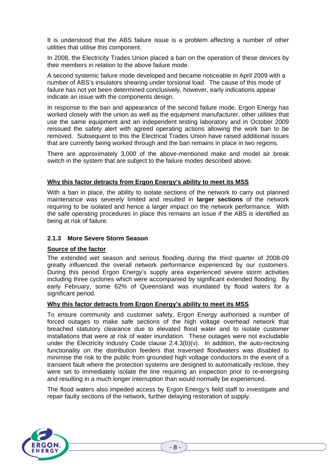It is understood that the ABS failure issue is a problem affecting a number of other utilities that utilise this component.

In 2008, the Electricity Trades Union placed a ban on the operation of these devices by their members in relation to the above failure mode.

A second systemic failure mode developed and became noticeable in April 2009 with a number of ABS's insulators shearing under torsional load. The cause of this mode of failure has not yet been determined conclusively, however, early indications appear indicate an issue with the components design.

In response to the ban and appearance of the second failure mode, Ergon Energy has worked closely with the union as well as the equipment manufacturer, other utilities that use the same equipment and an independent testing laboratory and in October 2009 reissued the safety alert with agreed operating actions allowing the work ban to be removed. Subsequent to this the Electrical Trades Union have raised additional issues that are currently being worked through and the ban remains in place in two regions.

There are approximately 3,000 of the above-mentioned make and model air break switch in the system that are subject to the failure modes described above.

#### **Why this factor detracts from Ergon Energy's ability to meet its MSS**

With a ban in place, the ability to isolate sections of the network to carry out planned maintenance was severely limited and resulted in **larger sections** of the network requiring to be isolated and hence a larger impact on the network performance. With the safe operating procedures in place this remains an issue if the ABS is identified as being at risk of failure.

#### **2.1.3 More Severe Storm Season**

#### **Source of the factor**

The extended wet season and serious flooding during the third quarter of 2008-09 greatly influenced the overall network performance experienced by our customers. During this period Ergon Energy's supply area experienced severe storm activities including three cyclones which were accompanied by significant extended flooding. By early February, some 62% of Queensland was inundated by flood waters for a significant period.

#### **Why this factor detracts from Ergon Energy's ability to meet its MSS**

To ensure community and customer safety, Ergon Energy authorised a number of forced outages to make safe sections of the high voltage overhead network that breached statutory clearance due to elevated flood water and to isolate customer installations that were at risk of water inundation. These outages were not excludable under the Electricity Industry Code clause 2.4.3(b)(v). In addition, the auto-reclosing functionality on the distribution feeders that traversed floodwaters was disabled to minimise the risk to the public from grounded high voltage conductors In the event of a transient fault where the protection systems are designed to automatically reclose, they were set to immediately isolate the line requiring an inspection prior to re-energising and resulting in a much longer interruption than would normally be experienced.

The flood waters also impeded access by Ergon Energy's field staff to investigate and repair faulty sections of the network, further delaying restoration of supply.

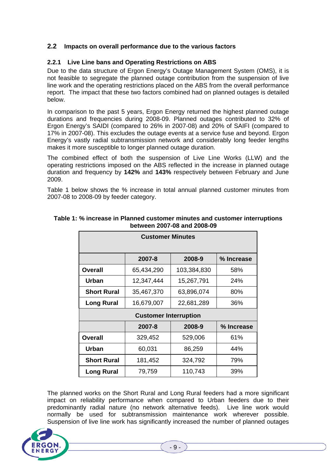# **2.2 Impacts on overall performance due to the various factors**

#### **2.2.1 Live Line bans and Operating Restrictions on ABS**

Due to the data structure of Ergon Energy's Outage Management System (OMS), it is not feasible to segregate the planned outage contribution from the suspension of live line work and the operating restrictions placed on the ABS from the overall performance report. The impact that these two factors combined had on planned outages is detailed below.

In comparison to the past 5 years, Ergon Energy returned the highest planned outage durations and frequencies during 2008-09. Planned outages contributed to 32% of Ergon Energy's SAIDI (compared to 26% in 2007-08) and 20% of SAIFI (compared to 17% in 2007-08). This excludes the outage events at a service fuse and beyond. Ergon Energy's vastly radial subtransmission network and considerably long feeder lengths makes it more susceptible to longer planned outage duration.

The combined effect of both the suspension of Live Line Works (LLW) and the operating restrictions imposed on the ABS reflected in the increase in planned outage duration and frequency by **142%** and **143%** respectively between February and June 2009.

Table 1 below shows the % increase in total annual planned customer minutes from 2007-08 to 2008-09 by feeder category.

| <b>Customer Minutes</b>      |            |             |            |  |  |
|------------------------------|------------|-------------|------------|--|--|
|                              | 2007-8     | 2008-9      | % Increase |  |  |
| <b>Overall</b>               | 65,434,290 | 103,384,830 | 58%        |  |  |
| <b>Urban</b>                 | 12,347,444 | 15,267,791  | 24%        |  |  |
| <b>Short Rural</b>           | 35,467,370 | 63,896,074  | 80%        |  |  |
| <b>Long Rural</b>            | 16,679,007 | 22,681,289  | 36%        |  |  |
| <b>Customer Interruption</b> |            |             |            |  |  |
|                              | 2007-8     | 2008-9      | % Increase |  |  |
| <b>Overall</b>               | 329,452    | 529,006     | 61%        |  |  |
| <b>Urban</b>                 | 60,031     | 86,259      | 44%        |  |  |
| <b>Short Rural</b>           | 181,452    | 324,792     | 79%        |  |  |
| <b>Long Rural</b>            | 79,759     | 110,743     | 39%        |  |  |

#### **Table 1: % increase in Planned customer minutes and customer interruptions between 2007-08 and 2008-09**

The planned works on the Short Rural and Long Rural feeders had a more significant impact on reliability performance when compared to Urban feeders due to their predominantly radial nature (no network alternative feeds). Live line work would normally be used for subtransmission maintenance work wherever possible. Suspension of live line work has significantly increased the number of planned outages

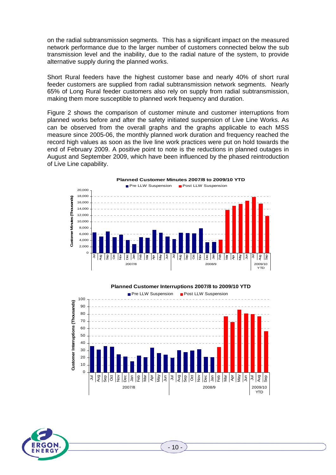on the radial subtransmission segments. This has a significant impact on the measured network performance due to the larger number of customers connected below the sub transmission level and the inability, due to the radial nature of the system, to provide alternative supply during the planned works.

Short Rural feeders have the highest customer base and nearly 40% of short rural feeder customers are supplied from radial subtransmission network segments. Nearly 65% of Long Rural feeder customers also rely on supply from radial subtransmission, making them more susceptible to planned work frequency and duration.

Figure 2 shows the comparison of customer minute and customer interruptions from planned works before and after the safety initiated suspension of Live Line Works. As can be observed from the overall graphs and the graphs applicable to each MSS measure since 2005-06, the monthly planned work duration and frequency reached the record high values as soon as the live line work practices were put on hold towards the end of February 2009. A positive point to note is the reductions in planned outages in August and September 2009, which have been influenced by the phased reintroduction of Live Line capability.



#### **Planned Customer Interruptions 2007/8 to 2009/10 YTD**





 $-10-$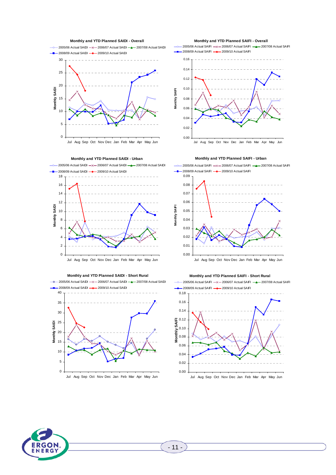



**Monthly and YTD Planned SAIDI - Short Rural**  $2005/06$  Actual SAIDI  $-x = 2006/07$  Actual SAIDI  $-$  2007/08 Actual SAIDI  $-2008/09$  Actual SAIDI $-2009/10$  Actual SAIDI 40 35 30 Monthly SAIDI 25 **Monthly SAIDI** 20 15 10 5  $\Omega$ 

#### Jul Aug Sep Oct Nov Dec Jan Feb Mar Apr May Jun

**Monthly and YTD Planned SAIFI - Overall**

 $-$  2005/06 Actual SAIFI  $-x$  - 2006/07 Actual SAIFI  $-$  2007/08 Actual SAIFI -2008/09 Actual SAIFI - 2009/10 Actual SAIFI





0.09  $-$ 2005/06 Actual SAIFI  $-x$  - 2006/07 Actual SAIFI  $-x$  2007/08 Actual SAIFI 2008/09 Actual SAIFI **- 2009/10 Actual SAIFI** 









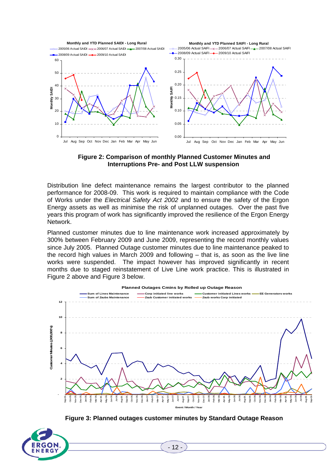

**Figure 2: Comparison of monthly Planned Customer Minutes and Interruptions Pre- and Post LLW suspension** 

Distribution line defect maintenance remains the largest contributor to the planned performance for 2008-09. This work is required to maintain compliance with the Code of Works under the *Electrical Safety Act 2002* and to ensure the safety of the Ergon Energy assets as well as minimise the risk of unplanned outages. Over the past five years this program of work has significantly improved the resilience of the Ergon Energy Network.

Planned customer minutes due to line maintenance work increased approximately by 300% between February 2009 and June 2009, representing the record monthly values since July 2005. Planned Outage customer minutes due to line maintenance peaked to the record high values in March 2009 and following – that is, as soon as the live line works were suspended. The impact however has improved significantly in recent months due to staged reinstatement of Live Line work practice. This is illustrated in Figure 2 above and Figure 3 below.



**Figure 3: Planned outages customer minutes by Standard Outage Reason** 

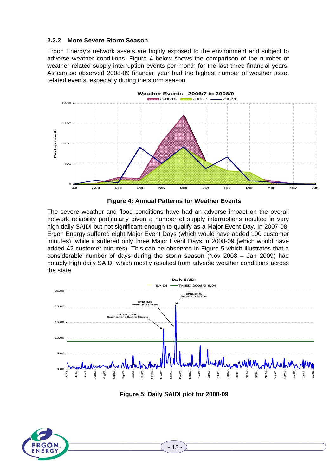# **2.2.2 More Severe Storm Season**

Ergon Energy's network assets are highly exposed to the environment and subject to adverse weather conditions. Figure 4 below shows the comparison of the number of weather related supply interruption events per month for the last three financial years. As can be observed 2008-09 financial year had the highest number of weather asset related events, especially during the storm season.





The severe weather and flood conditions have had an adverse impact on the overall network reliability particularly given a number of supply interruptions resulted in very high daily SAIDI but not significant enough to qualify as a Major Event Day. In 2007-08, Ergon Energy suffered eight Major Event Days (which would have added 100 customer minutes), while it suffered only three Major Event Days in 2008-09 (which would have added 42 customer minutes). This can be observed in Figure 5 which illustrates that a considerable number of days during the storm season (Nov 2008 – Jan 2009) had notably high daily SAIDI which mostly resulted from adverse weather conditions across the state.



**Figure 5: Daily SAIDI plot for 2008-09** 

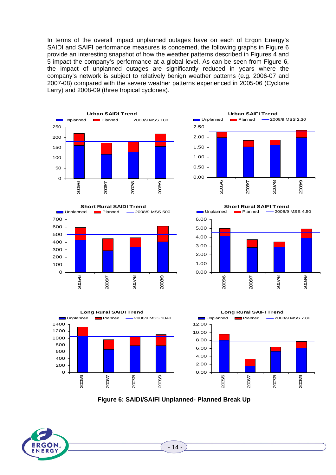In terms of the overall impact unplanned outages have on each of Ergon Energy's SAIDI and SAIFI performance measures is concerned, the following graphs in Figure 6 provide an interesting snapshot of how the weather patterns described in Figures 4 and 5 impact the company's performance at a global level. As can be seen from Figure 6, the impact of unplanned outages are significantly reduced in years where the company's network is subject to relatively benign weather patterns (e.g. 2006-07 and 2007-08) compared with the severe weather patterns experienced in 2005-06 (Cyclone Larry) and 2008-09 (three tropical cyclones).







**Short Rural SAIFI Trend**<br>Diplanned **Internative Construct** Planned –2008/9 -2008/9 MSS 4.50

6.00







**Figure 6: SAIDI/SAIFI Unplanned- Planned Break Up** 



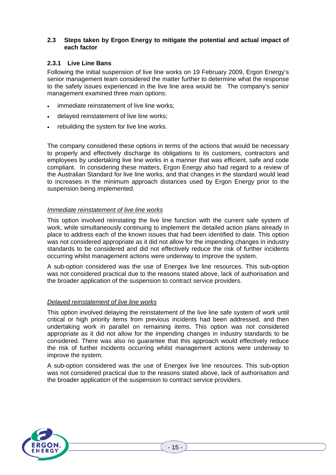#### **2.3 Steps taken by Ergon Energy to mitigate the potential and actual impact of each factor**

#### **2.3.1 Live Line Bans**

Following the initial suspension of live line works on 19 February 2009, Ergon Energy's senior management team considered the matter further to determine what the response to the safety issues experienced in the live line area would be. The company's senior management examined three main options:

- immediate reinstatement of live line works;
- delayed reinstatement of live line works;
- rebuilding the system for live line works.

The company considered these options in terms of the actions that would be necessary to properly and effectively discharge its obligations to its customers, contractors and employees by undertaking live line works in a manner that was efficient, safe and code compliant. In considering these matters, Ergon Energy also had regard to a review of the Australian Standard for live line works, and that changes in the standard would lead to increases in the minimum approach distances used by Ergon Energy prior to the suspension being implemented.

#### *Immediate reinstatement of live line works*

This option involved reinstating the live line function with the current safe system of work, while simultaneously continuing to implement the detailed action plans already in place to address each of the known issues that had been identified to date. This option was not considered appropriate as it did not allow for the impending changes in industry standards to be considered and did not effectively reduce the risk of further incidents occurring whilst management actions were underway to improve the system.

A sub-option considered was the use of Energex live line resources. This sub-option was not considered practical due to the reasons stated above, lack of authorisation and the broader application of the suspension to contract service providers.

#### *Delayed reinstatement of live line works*

This option involved delaying the reinstatement of the live line safe system of work until critical or high priority items from previous incidents had been addressed, and then undertaking work in parallel on remaining items. This option was not considered appropriate as it did not allow for the impending changes in industry standards to be considered. There was also no guarantee that this approach would effectively reduce the risk of further incidents occurring whilst management actions were underway to improve the system.

A sub-option considered was the use of Energex live line resources. This sub-option was not considered practical due to the reasons stated above, lack of authorisation and the broader application of the suspension to contract service providers.

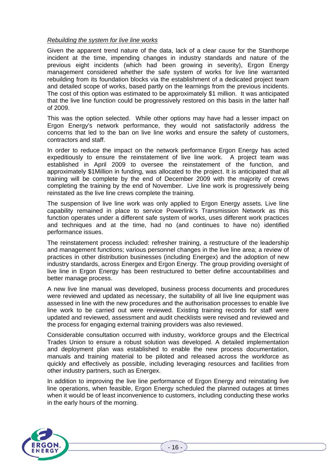#### *Rebuilding the system for live line works*

Given the apparent trend nature of the data, lack of a clear cause for the Stanthorpe incident at the time, impending changes in industry standards and nature of the previous eight incidents (which had been growing in severity), Ergon Energy management considered whether the safe system of works for live line warranted rebuilding from its foundation blocks via the establishment of a dedicated project team and detailed scope of works, based partly on the learnings from the previous incidents. The cost of this option was estimated to be approximately \$1 million. It was anticipated that the live line function could be progressively restored on this basis in the latter half of 2009.

This was the option selected. While other options may have had a lesser impact on Ergon Energy's network performance, they would not satisfactorily address the concerns that led to the ban on live line works and ensure the safety of customers, contractors and staff.

In order to reduce the impact on the network performance Ergon Energy has acted expeditiously to ensure the reinstatement of live line work. A project team was established in April 2009 to oversee the reinstatement of the function, and approximately \$1Million in funding, was allocated to the project. It is anticipated that all training will be complete by the end of December 2009 with the majority of crews completing the training by the end of November. Live line work is progressively being reinstated as the live line crews complete the training.

The suspension of live line work was only applied to Ergon Energy assets. Live line capability remained in place to service Powerlink's Transmission Network as this function operates under a different safe system of works, uses different work practices and techniques and at the time, had no (and continues to have no) identified performance issues.

The reinstatement process included: refresher training, a restructure of the leadership and management functions; various personnel changes in the live line area; a review of practices in other distribution businesses (including Energex) and the adoption of new industry standards, across Energex and Ergon Energy. The group providing oversight of live line in Ergon Energy has been restructured to better define accountabilities and better manage process.

A new live line manual was developed, business process documents and procedures were reviewed and updated as necessary, the suitability of all live line equipment was assessed in line with the new procedures and the authorisation processes to enable live line work to be carried out were reviewed. Existing training records for staff were updated and reviewed, assessment and audit checklists were revised and reviewed and the process for engaging external training providers was also reviewed.

Considerable consultation occurred with industry, workforce groups and the Electrical Trades Union to ensure a robust solution was developed. A detailed implementation and deployment plan was established to enable the new process documentation, manuals and training material to be piloted and released across the workforce as quickly and effectively as possible, including leveraging resources and facilities from other industry partners, such as Energex.

In addition to improving the live line performance of Ergon Energy and reinstating live line operations, when feasible, Ergon Energy scheduled the planned outages at times when it would be of least inconvenience to customers, including conducting these works in the early hours of the morning.

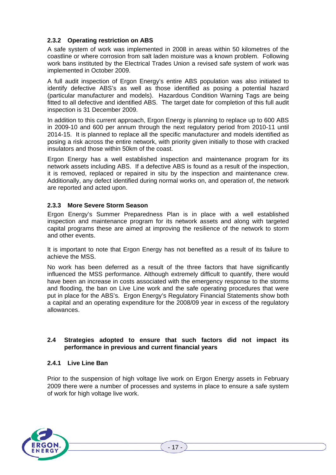# **2.3.2 Operating restriction on ABS**

A safe system of work was implemented in 2008 in areas within 50 kilometres of the coastline or where corrosion from salt laden moisture was a known problem. Following work bans instituted by the Electrical Trades Union a revised safe system of work was implemented in October 2009.

A full audit inspection of Ergon Energy's entire ABS population was also initiated to identify defective ABS's as well as those identified as posing a potential hazard (particular manufacturer and models). Hazardous Condition Warning Tags are being fitted to all defective and identified ABS. The target date for completion of this full audit inspection is 31 December 2009.

In addition to this current approach, Ergon Energy is planning to replace up to 600 ABS in 2009-10 and 600 per annum through the next regulatory period from 2010-11 until 2014-15. It is planned to replace all the specific manufacturer and models identified as posing a risk across the entire network, with priority given initially to those with cracked insulators and those within 50km of the coast.

Ergon Energy has a well established inspection and maintenance program for its network assets including ABS. If a defective ABS is found as a result of the inspection, it is removed, replaced or repaired in situ by the inspection and maintenance crew. Additionally, any defect identified during normal works on, and operation of, the network are reported and acted upon.

### **2.3.3 More Severe Storm Season**

Ergon Energy's Summer Preparedness Plan is in place with a well established inspection and maintenance program for its network assets and along with targeted capital programs these are aimed at improving the resilience of the network to storm and other events.

It is important to note that Ergon Energy has not benefited as a result of its failure to achieve the MSS.

No work has been deferred as a result of the three factors that have significantly influenced the MSS performance. Although extremely difficult to quantify, there would have been an increase in costs associated with the emergency response to the storms and flooding, the ban on Live Line work and the safe operating procedures that were put in place for the ABS's. Ergon Energy's Regulatory Financial Statements show both a capital and an operating expenditure for the 2008/09 year in excess of the regulatory allowances.

#### **2.4 Strategies adopted to ensure that such factors did not impact its performance in previous and current financial years**

#### **2.4.1 Live Line Ban**

Prior to the suspension of high voltage live work on Ergon Energy assets in February 2009 there were a number of processes and systems in place to ensure a safe system of work for high voltage live work.

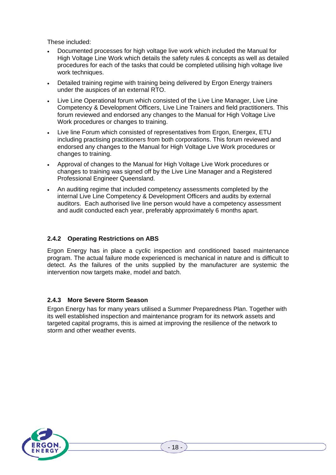These included:

- Documented processes for high voltage live work which included the Manual for High Voltage Line Work which details the safety rules & concepts as well as detailed procedures for each of the tasks that could be completed utilising high voltage live work techniques.
- Detailed training regime with training being delivered by Ergon Energy trainers under the auspices of an external RTO.
- Live Line Operational forum which consisted of the Live Line Manager, Live Line Competency & Development Officers, Live Line Trainers and field practitioners. This forum reviewed and endorsed any changes to the Manual for High Voltage Live Work procedures or changes to training.
- Live line Forum which consisted of representatives from Ergon, Energex, ETU including practising practitioners from both corporations. This forum reviewed and endorsed any changes to the Manual for High Voltage Live Work procedures or changes to training.
- Approval of changes to the Manual for High Voltage Live Work procedures or changes to training was signed off by the Live Line Manager and a Registered Professional Engineer Queensland.
- An auditing regime that included competency assessments completed by the internal Live Line Competency & Development Officers and audits by external auditors. Each authorised live line person would have a competency assessment and audit conducted each year, preferably approximately 6 months apart.

# **2.4.2 Operating Restrictions on ABS**

Ergon Energy has in place a cyclic inspection and conditioned based maintenance program. The actual failure mode experienced is mechanical in nature and is difficult to detect. As the failures of the units supplied by the manufacturer are systemic the intervention now targets make, model and batch.

### **2.4.3 More Severe Storm Season**

Ergon Energy has for many years utilised a Summer Preparedness Plan. Together with its well established inspection and maintenance program for its network assets and targeted capital programs, this is aimed at improving the resilience of the network to storm and other weather events.

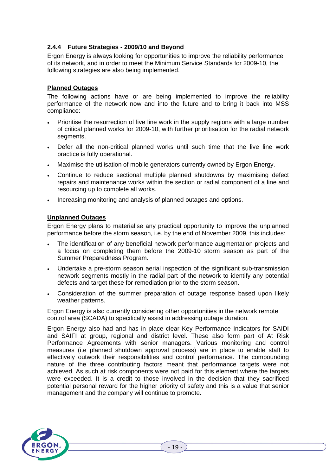# **2.4.4 Future Strategies - 2009/10 and Beyond**

Ergon Energy is always looking for opportunities to improve the reliability performance of its network, and in order to meet the Minimum Service Standards for 2009-10, the following strategies are also being implemented.

#### **Planned Outages**

The following actions have or are being implemented to improve the reliability performance of the network now and into the future and to bring it back into MSS compliance:

- Prioritise the resurrection of live line work in the supply regions with a large number of critical planned works for 2009-10, with further prioritisation for the radial network segments.
- Defer all the non-critical planned works until such time that the live line work practice is fully operational.
- Maximise the utilisation of mobile generators currently owned by Ergon Energy.
- Continue to reduce sectional multiple planned shutdowns by maximising defect repairs and maintenance works within the section or radial component of a line and resourcing up to complete all works.
- Increasing monitoring and analysis of planned outages and options.

#### **Unplanned Outages**

Ergon Energy plans to materialise any practical opportunity to improve the unplanned performance before the storm season, i.e. by the end of November 2009, this includes:

- The identification of any beneficial network performance augmentation projects and a focus on completing them before the 2009-10 storm season as part of the Summer Preparedness Program.
- Undertake a pre-storm season aerial inspection of the significant sub-transmission network segments mostly in the radial part of the network to identify any potential defects and target these for remediation prior to the storm season.
- Consideration of the summer preparation of outage response based upon likely weather patterns.

Ergon Energy is also currently considering other opportunities in the network remote control area (SCADA) to specifically assist in addressing outage duration.

Ergon Energy also had and has in place clear Key Performance Indicators for SAIDI and SAIFI at group, regional and district level. These also form part of At Risk Performance Agreements with senior managers. Various monitoring and control measures (i.e planned shutdown approval process) are in place to enable staff to effectively outwork their responsibilities and control performance. The compounding nature of the three contributing factors meant that performance targets were not achieved. As such at risk components were not paid for this element where the targets were exceeded. It is a credit to those involved in the decision that they sacrificed potential personal reward for the higher priority of safety and this is a value that senior management and the company will continue to promote.